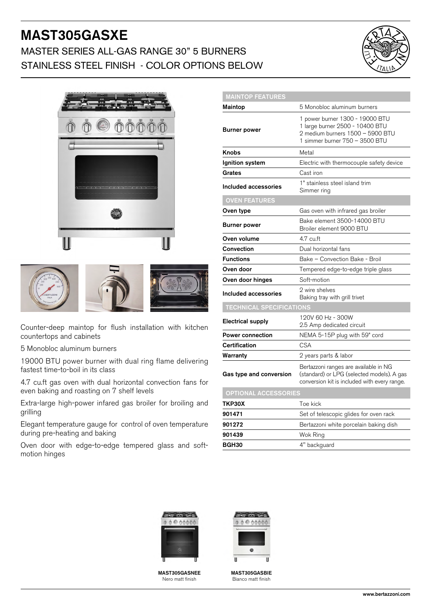# MAST305GASXE

## MASTER SERIES ALL-GAS RANGE 30" 5 BURNERS STAINLESS STEEL FINISH - COLOR OPTIONS BELOW







Counter-deep maintop for flush installation with kitchen countertops and cabinets

5 Monobloc aluminum burners

19000 BTU power burner with dual ring flame delivering fastest time-to-boil in its class

4.7 cu.ft gas oven with dual horizontal convection fans for even baking and roasting on 7 shelf levels

Extra-large high-power infared gas broiler for broiling and grilling

Elegant temperature gauge for control of oven temperature during pre-heating and baking

Oven door with edge-to-edge tempered glass and softmotion hinges

| <b>MAINTOP FEATURES</b>         |                                                                                                                                          |
|---------------------------------|------------------------------------------------------------------------------------------------------------------------------------------|
| Maintop                         | 5 Monobloc aluminum burners                                                                                                              |
| <b>Burner power</b>             | 1 power burner 1300 - 19000 BTU<br>1 large burner 2500 - 10400 BTU<br>2 medium burners 1500 - 5900 BTU<br>1 simmer burner 750 - 3500 BTU |
| Knobs                           | Metal                                                                                                                                    |
| Ignition system                 | Electric with thermocouple safety device                                                                                                 |
| Grates                          | Cast iron                                                                                                                                |
| Included accessories            | 1" stainless steel island trim<br>Simmer ring                                                                                            |
| <b>OVEN FEATURES</b>            |                                                                                                                                          |
| Oven type                       | Gas oven with infrared gas broiler                                                                                                       |
| <b>Burner power</b>             | Bake element 3500-14000 BTU<br>Broiler element 9000 BTU                                                                                  |
| Oven volume                     | 4.7 cu.ft                                                                                                                                |
| Convection                      | Dual horizontal fans                                                                                                                     |
| <b>Functions</b>                | Bake - Convection Bake - Broil                                                                                                           |
| Oven door                       | Tempered edge-to-edge triple glass                                                                                                       |
| Oven door hinges                | Soft-motion                                                                                                                              |
| Included accessories            | 2 wire shelves<br>Baking tray with grill trivet                                                                                          |
| <b>TECHNICAL SPECIFICATIONS</b> |                                                                                                                                          |
| <b>Electrical supply</b>        | 120V 60 Hz - 300W<br>2.5 Amp dedicated circuit                                                                                           |
| <b>Power connection</b>         | NEMA 5-15P plug with 59" cord                                                                                                            |
| Certification                   | <b>CSA</b>                                                                                                                               |
| Warranty                        | 2 years parts & labor                                                                                                                    |
| Gas type and conversion         | Bertazzoni ranges are available in NG<br>(standard) or LPG (selected models). A gas<br>conversion kit is included with every range.      |
| <b>OPTIONAL ACCESSORIES</b>     |                                                                                                                                          |
| TKP30X                          | Toe kick                                                                                                                                 |
| 901471                          | Set of telescopic glides for oven rack                                                                                                   |
| 901272                          | Bertazzoni white porcelain baking dish                                                                                                   |
| 901439                          | Wok Ring                                                                                                                                 |
| BGH30                           | 4" backguard                                                                                                                             |



MAST305GASNEE Nero matt finish



MAST305GASBIE Bianco matt finish